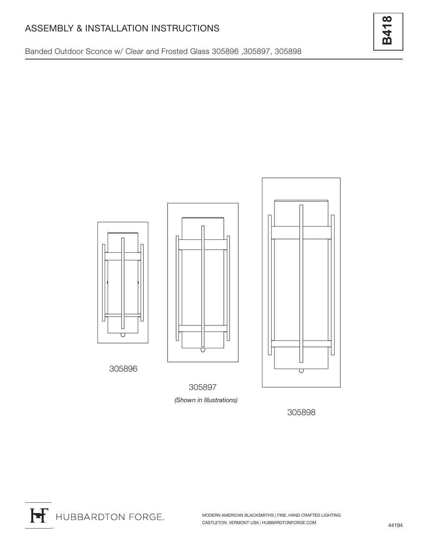## ASSEMBLY & INSTALLATION INSTRUCTIONS

Banded Outdoor Sconce w/ Clear and Frosted Glass 305896 ,305897, 305898

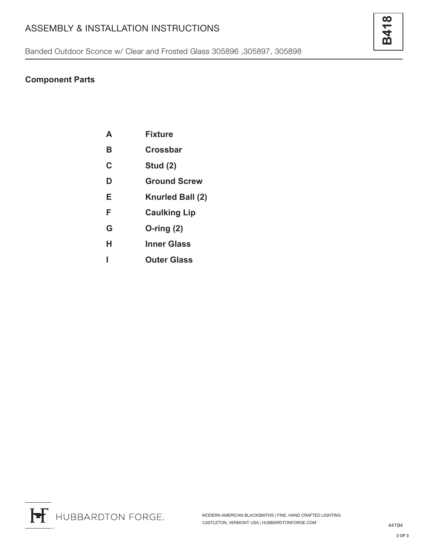# ASSEMBLY & INSTALLATION INSTRUCTIONS

Banded Outdoor Sconce w/ Clear and Frosted Glass 305896 ,305897, 305898

### **Component Parts**

| Δ | <b>Fixture</b>      |
|---|---------------------|
| В | Crossbar            |
| C | <b>Stud (2)</b>     |
| D | <b>Ground Screw</b> |
| Е | Knurled Ball (2)    |
| F | <b>Caulking Lip</b> |
| G | $O$ -ring $(2)$     |
| н | Inner Glass         |
|   | <b>Outer Glass</b>  |
|   |                     |